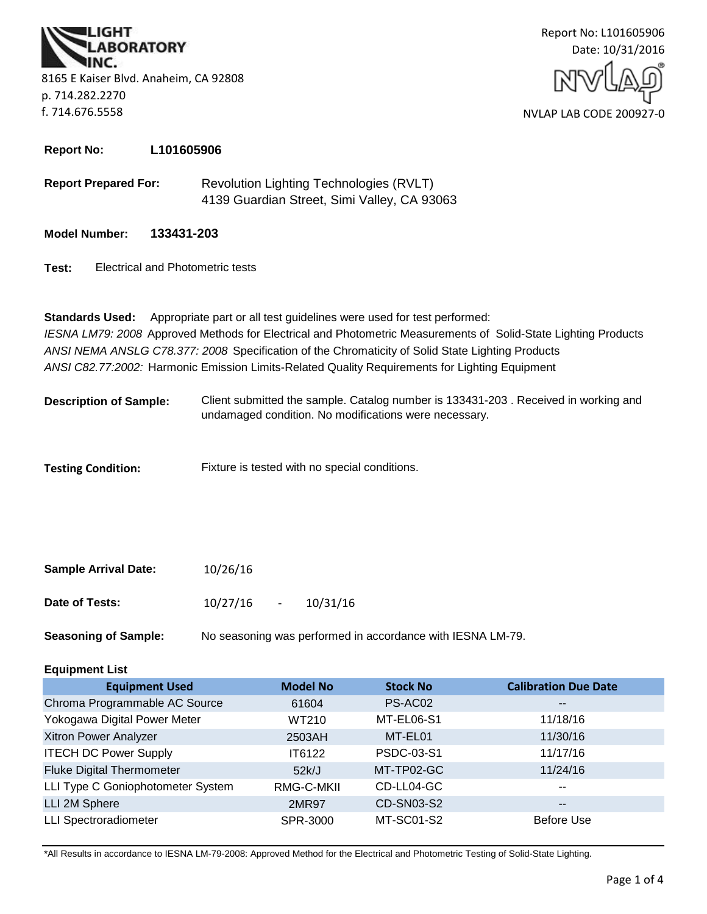**BORATORY** 8165 E Kaiser Blvd. Anaheim, CA 92808 p. 714.282.2270 f. 714.676.5558



**Report No: L101605906**

- **Report Prepared For:** Revolution Lighting Technologies (RVLT) 4139 Guardian Street, Simi Valley, CA 93063
- **Model Number: 133431-203**
- **Test:** Electrical and Photometric tests

*ANSI C82.77:2002:* Harmonic Emission Limits-Related Quality Requirements for Lighting Equipment **Standards Used:** Appropriate part or all test guidelines were used for test performed: *IESNA LM79: 2008* Approved Methods for Electrical and Photometric Measurements of Solid-State Lighting Products *ANSI NEMA ANSLG C78.377: 2008* Specification of the Chromaticity of Solid State Lighting Products

Client submitted the sample. Catalog number is 133431-203 . Received in working and undamaged condition. No modifications were necessary. **Description of Sample:**

**Testing Condition:** Fixture is tested with no special conditions.

| <b>Sample Arrival Date:</b> | 10/26/16 |        |          |
|-----------------------------|----------|--------|----------|
| Date of Tests:              | 10/27/16 | $\sim$ | 10/31/16 |

**Seasoning of Sample:** No seasoning was performed in accordance with IESNA LM-79.

# **Equipment List**

| <b>Equipment Used</b>             | <b>Model No</b> | <b>Stock No</b>   | <b>Calibration Due Date</b> |
|-----------------------------------|-----------------|-------------------|-----------------------------|
| Chroma Programmable AC Source     | 61604           | PS-AC02           | $\overline{\phantom{m}}$    |
| Yokogawa Digital Power Meter      | WT210           | MT-EL06-S1        | 11/18/16                    |
| Xitron Power Analyzer             | 2503AH          | MT-EL01           | 11/30/16                    |
| <b>ITECH DC Power Supply</b>      | IT6122          | PSDC-03-S1        | 11/17/16                    |
| <b>Fluke Digital Thermometer</b>  | 52k/J           | MT-TP02-GC        | 11/24/16                    |
| LLI Type C Goniophotometer System | RMG-C-MKII      | CD-LL04-GC        | $\overline{\phantom{m}}$    |
| LLI 2M Sphere                     | 2MR97           | <b>CD-SN03-S2</b> | $\overline{\phantom{m}}$    |
| <b>LLI Spectroradiometer</b>      | SPR-3000        | MT-SC01-S2        | Before Use                  |

\*All Results in accordance to IESNA LM-79-2008: Approved Method for the Electrical and Photometric Testing of Solid-State Lighting.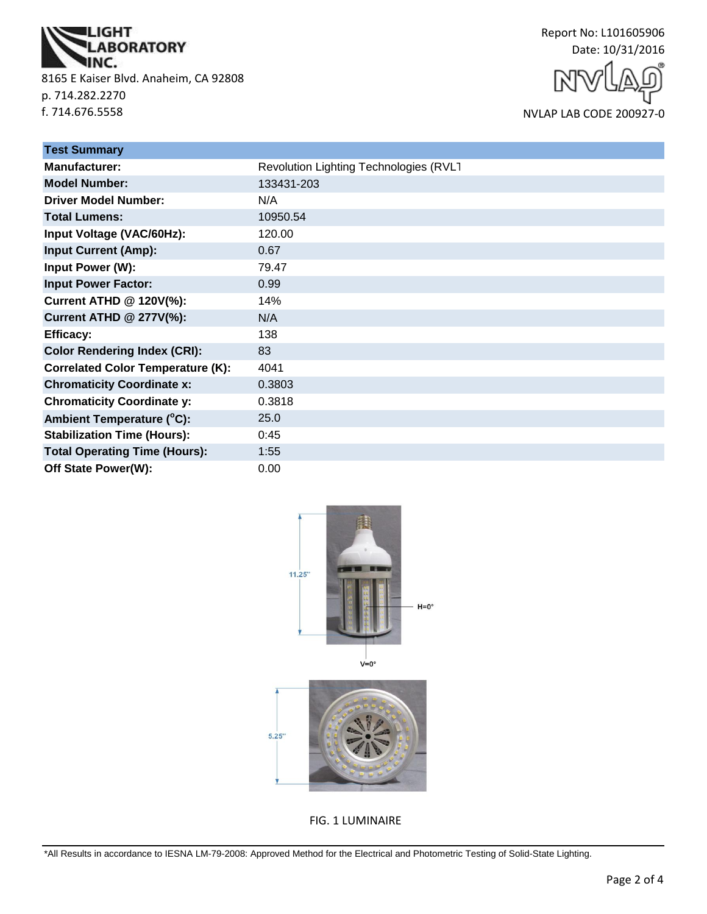

8165 E Kaiser Blvd. Anaheim, CA 92808 p. 714.282.2270 f. 714.676.5558



NVLAP LAB CODE 200927-0

| <b>Test Summary</b>                      |                                        |
|------------------------------------------|----------------------------------------|
| <b>Manufacturer:</b>                     | Revolution Lighting Technologies (RVLT |
| <b>Model Number:</b>                     | 133431-203                             |
| <b>Driver Model Number:</b>              | N/A                                    |
| <b>Total Lumens:</b>                     | 10950.54                               |
| Input Voltage (VAC/60Hz):                | 120.00                                 |
| <b>Input Current (Amp):</b>              | 0.67                                   |
| <b>Input Power (W):</b>                  | 79.47                                  |
| <b>Input Power Factor:</b>               | 0.99                                   |
| <b>Current ATHD @ 120V(%):</b>           | 14%                                    |
| <b>Current ATHD @ 277V(%):</b>           | N/A                                    |
| <b>Efficacy:</b>                         | 138                                    |
| <b>Color Rendering Index (CRI):</b>      | 83                                     |
| <b>Correlated Color Temperature (K):</b> | 4041                                   |
| <b>Chromaticity Coordinate x:</b>        | 0.3803                                 |
| <b>Chromaticity Coordinate y:</b>        | 0.3818                                 |
| Ambient Temperature (°C):                | 25.0                                   |
| <b>Stabilization Time (Hours):</b>       | 0:45                                   |
| <b>Total Operating Time (Hours):</b>     | 1:55                                   |
| Off State Power(W):                      | 0.00                                   |



FIG. 1 LUMINAIRE

\*All Results in accordance to IESNA LM-79-2008: Approved Method for the Electrical and Photometric Testing of Solid-State Lighting.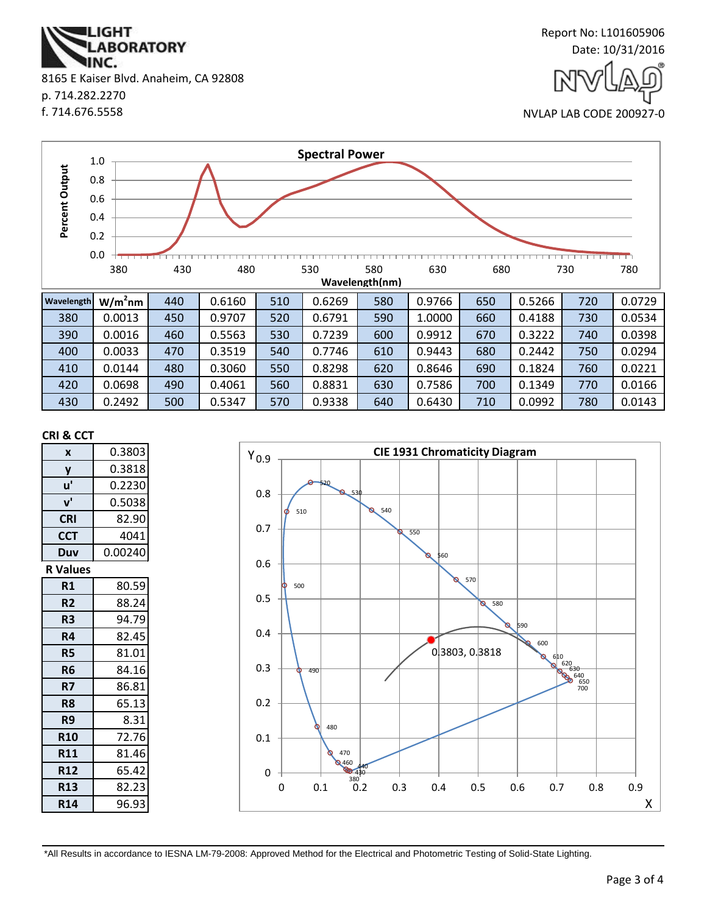

| <b>Wavelength</b> | $W/m2$ nm | 440 | 0.6160 | 510 | 0.6269 | 580 | 0.9766 | 650 | 0.5266 | 720 | 0.0729 |
|-------------------|-----------|-----|--------|-----|--------|-----|--------|-----|--------|-----|--------|
| 380               | 0.0013    | 450 | 0.9707 | 520 | 0.6791 | 590 | 1.0000 | 660 | 0.4188 | 730 | 0.0534 |
| 390               | 0.0016    | 460 | 0.5563 | 530 | 0.7239 | 600 | 0.9912 | 670 | 0.3222 | 740 | 0.0398 |
| 400               | 0.0033    | 470 | 0.3519 | 540 | 0.7746 | 610 | 0.9443 | 680 | 0.2442 | 750 | 0.0294 |
| 410               | 0.0144    | 480 | 0.3060 | 550 | 0.8298 | 620 | 0.8646 | 690 | 0.1824 | 760 | 0.0221 |
| 420               | 0.0698    | 490 | 0.4061 | 560 | 0.8831 | 630 | 0.7586 | 700 | 0.1349 | 770 | 0.0166 |
| 430               | 0.2492    | 500 | 0.5347 | 570 | 0.9338 | 640 | 0.6430 | 710 | 0.0992 | 780 | 0.0143 |

#### **CRI & CCT**

| X               | 0.3803  |
|-----------------|---------|
| y               | 0.3818  |
| u'              | 0.2230  |
| ${\bf v}'$      | 0.5038  |
| <b>CRI</b>      | 82.90   |
| <b>CCT</b>      | 4041    |
| Duv             | 0.00240 |
| <b>R</b> Values |         |
| R1              | 80.59   |
| R <sub>2</sub>  | 88.24   |
| R3              | 94.79   |
| R4              | 82.45   |
| <b>R5</b>       | 81.01   |
| R6              | 84.16   |
| R7              | 86.81   |
| R <sub>8</sub>  | 65.13   |
| R9              | 8.31    |
| <b>R10</b>      | 72.76   |
| <b>R11</b>      | 81.46   |
| <b>R12</b>      | 65.42   |
| <b>R13</b>      | 82.23   |
| <b>R14</b>      | 96.93   |

2 430<br>380 **9460** 470 480 490 500 510 520 530 540 550 560 570 580 590 600 610<br>
620<br>
630<br>
650<br>
650<br>
700 0.3803, 0.3818 0 0.1 0.2 0.3 0.4 0.5 0.6 0.7 0.8  $Y_{0.9}$ 0 0.1 0.2 0.3 0.4 0.5 0.6 0.7 0.8 0.9 X

**CIE 1931 Chromaticity Diagram**

\*All Results in accordance to IESNA LM-79-2008: Approved Method for the Electrical and Photometric Testing of Solid-State Lighting.



p. 714.282.2270

f. 714.676.5558

Report No: L101605906 Date: 10/31/2016

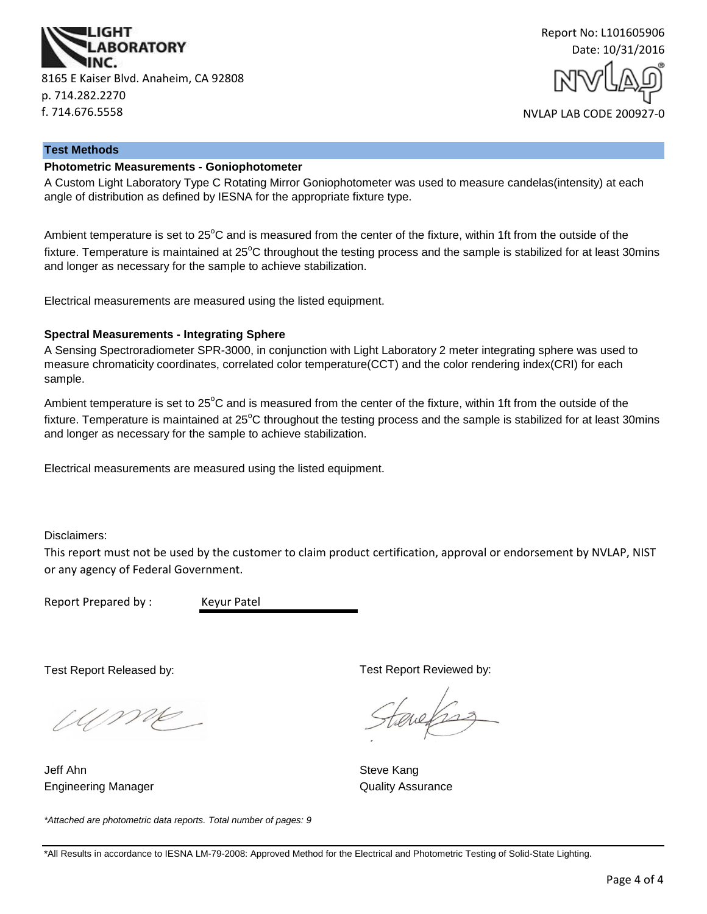



#### **Test Methods**

#### **Photometric Measurements - Goniophotometer**

A Custom Light Laboratory Type C Rotating Mirror Goniophotometer was used to measure candelas(intensity) at each angle of distribution as defined by IESNA for the appropriate fixture type.

Ambient temperature is set to 25<sup>°</sup>C and is measured from the center of the fixture, within 1ft from the outside of the fixture. Temperature is maintained at  $25^{\circ}$ C throughout the testing process and the sample is stabilized for at least 30mins and longer as necessary for the sample to achieve stabilization.

Electrical measurements are measured using the listed equipment.

#### **Spectral Measurements - Integrating Sphere**

A Sensing Spectroradiometer SPR-3000, in conjunction with Light Laboratory 2 meter integrating sphere was used to measure chromaticity coordinates, correlated color temperature(CCT) and the color rendering index(CRI) for each sample.

Ambient temperature is set to  $25^{\circ}$ C and is measured from the center of the fixture, within 1ft from the outside of the fixture. Temperature is maintained at  $25^{\circ}$ C throughout the testing process and the sample is stabilized for at least 30mins and longer as necessary for the sample to achieve stabilization.

Electrical measurements are measured using the listed equipment.

Disclaimers:

This report must not be used by the customer to claim product certification, approval or endorsement by NVLAP, NIST or any agency of Federal Government.

Report Prepared by : Keyur Patel

Test Report Released by:

UME

Engineering Manager **Contains a Strutter Contains a Container Contains A**uality Assurance Jeff Ahn Steve Kang

*\*Attached are photometric data reports. Total number of pages: 9*

Test Report Reviewed by:

auchs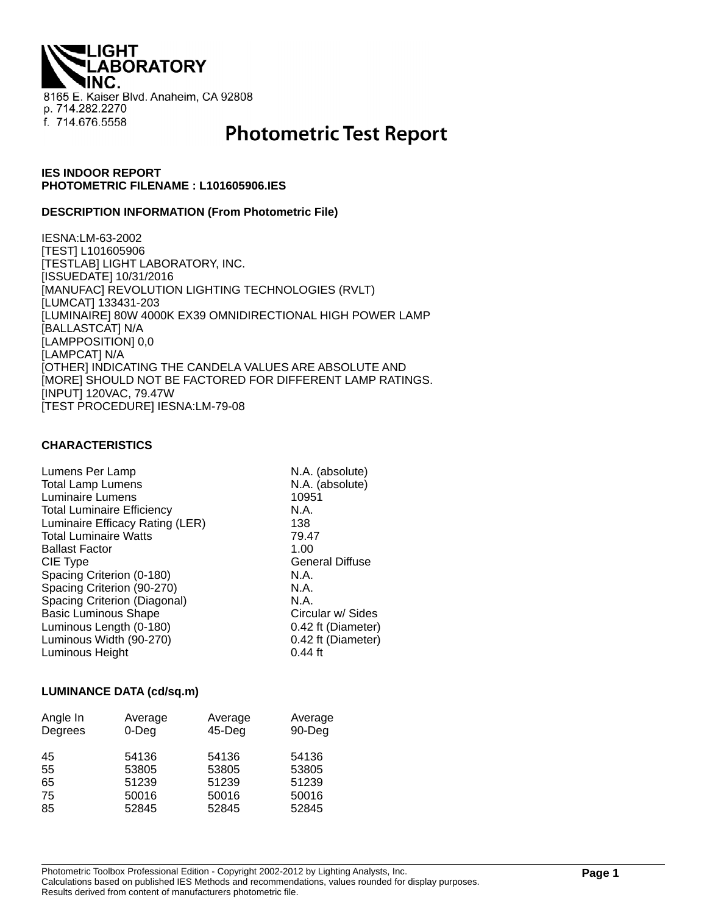**LIGHT ABORATORY** 8165 E. Kaiser Blvd. Anaheim, CA 92808 p. 714.282.2270 f. 714.676.5558

# **Photometric Test Report**

## **IES INDOOR REPORT PHOTOMETRIC FILENAME : L101605906.IES**

#### **DESCRIPTION INFORMATION (From Photometric File)**

IESNA:LM-63-2002 [TEST] L101605906 [TESTLAB] LIGHT LABORATORY, INC. [ISSUEDATE] 10/31/2016 [MANUFAC] REVOLUTION LIGHTING TECHNOLOGIES (RVLT) [LUMCAT] 133431-203 [LUMINAIRE] 80W 4000K EX39 OMNIDIRECTIONAL HIGH POWER LAMP [BALLASTCAT] N/A [LAMPPOSITION] 0,0 [LAMPCAT] N/A [OTHER] INDICATING THE CANDELA VALUES ARE ABSOLUTE AND [MORE] SHOULD NOT BE FACTORED FOR DIFFERENT LAMP RATINGS. [INPUT] 120VAC, 79.47W [TEST PROCEDURE] IESNA:LM-79-08

#### **CHARACTERISTICS**

| Lumens Per Lamp                   | N.A. (absolute)        |
|-----------------------------------|------------------------|
| <b>Total Lamp Lumens</b>          | N.A. (absolute)        |
| Luminaire Lumens                  | 10951                  |
| <b>Total Luminaire Efficiency</b> | N.A.                   |
| Luminaire Efficacy Rating (LER)   | 138                    |
| <b>Total Luminaire Watts</b>      | 79.47                  |
| <b>Ballast Factor</b>             | 1.00                   |
| CIE Type                          | <b>General Diffuse</b> |
| Spacing Criterion (0-180)         | N.A.                   |
| Spacing Criterion (90-270)        | N.A.                   |
| Spacing Criterion (Diagonal)      | N.A.                   |
| <b>Basic Luminous Shape</b>       | Circular w/ Sides      |
| Luminous Length (0-180)           | 0.42 ft (Diameter)     |
| Luminous Width (90-270)           | 0.42 ft (Diameter)     |
| Luminous Height                   | $0.44$ ft              |

#### **LUMINANCE DATA (cd/sq.m)**

| Angle In<br>Degrees | Average<br>$0$ -Deg | Average<br>$45$ -Deg | Average<br>90-Deg |
|---------------------|---------------------|----------------------|-------------------|
| 45                  | 54136               | 54136                | 54136             |
| 55                  | 53805               | 53805                | 53805             |
| 65                  | 51239               | 51239                | 51239             |
| 75                  | 50016               | 50016                | 50016             |
| 85                  | 52845               | 52845                | 52845             |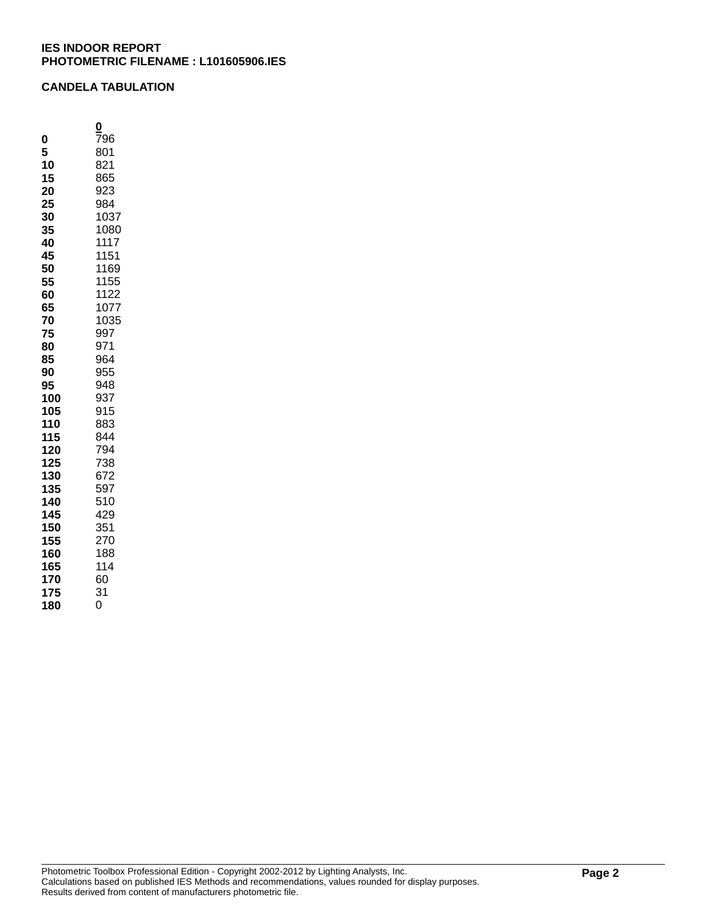# **CANDELA TABULATION**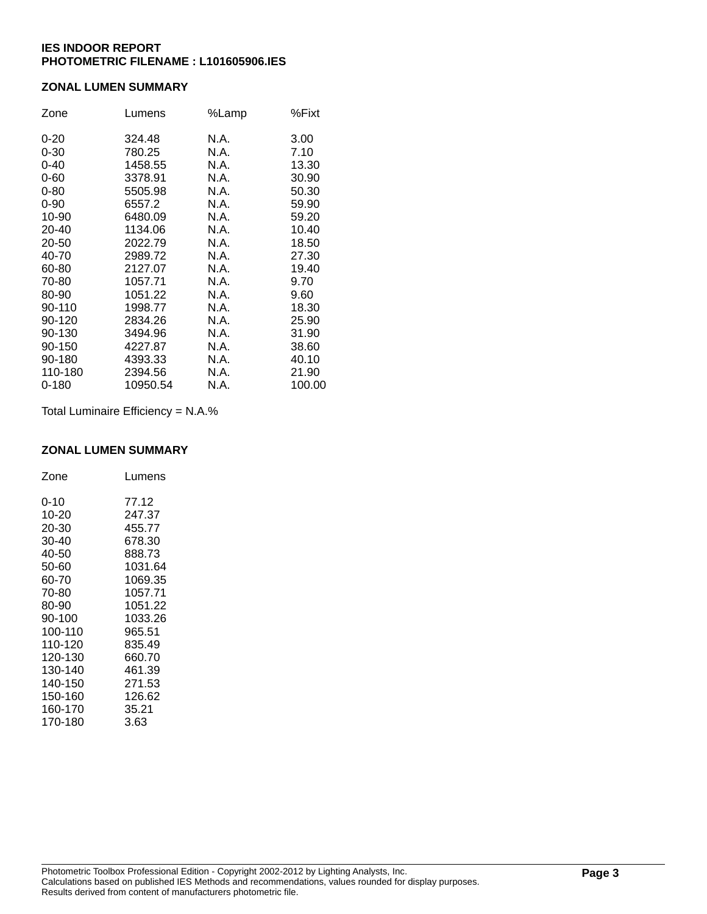# **ZONAL LUMEN SUMMARY**

| Zone     | Lumens   | %Lamp | %Fixt  |
|----------|----------|-------|--------|
| $0 - 20$ | 324.48   | N.A.  | 3.00   |
| $0 - 30$ | 780.25   | N.A.  | 7.10   |
| $0 - 40$ | 1458.55  | N.A.  | 13.30  |
| $0 - 60$ | 3378.91  | N.A.  | 30.90  |
| $0 - 80$ | 5505.98  | N.A.  | 50.30  |
| $0 - 90$ | 6557.2   | N.A.  | 59.90  |
| 10-90    | 6480.09  | N.A.  | 59.20  |
| 20-40    | 1134.06  | N.A.  | 10.40  |
| 20-50    | 2022.79  | N.A.  | 18.50  |
| 40-70    | 2989.72  | N.A.  | 27.30  |
| 60-80    | 2127.07  | N.A.  | 19.40  |
| 70-80    | 1057.71  | N.A.  | 9.70   |
| 80-90    | 1051.22  | N.A.  | 9.60   |
| 90-110   | 1998.77  | N.A.  | 18.30  |
| 90-120   | 2834.26  | N.A.  | 25.90  |
| 90-130   | 3494.96  | N.A.  | 31.90  |
| 90-150   | 4227.87  | N.A.  | 38.60  |
| 90-180   | 4393.33  | N.A.  | 40.10  |
| 110-180  | 2394.56  | N.A.  | 21.90  |
| 0-180    | 10950.54 | N.A.  | 100.00 |

Total Luminaire Efficiency = N.A.%

#### **ZONAL LUMEN SUMMARY**

| Zone    | Lumens  |
|---------|---------|
| 0-10    | 77.12   |
| 10-20   | 247.37  |
| 20-30   | 455.77  |
| 30-40   | 678.30  |
| 40-50   | 888.73  |
| 50-60   | 1031.64 |
| 60-70   | 1069.35 |
| 70-80   | 1057.71 |
| 80-90   | 1051.22 |
| 90-100  | 1033.26 |
| 100-110 | 965.51  |
| 110-120 | 835.49  |
| 120-130 | 660.70  |
| 130-140 | 461.39  |
| 140-150 | 271.53  |
| 150-160 | 126.62  |
| 160-170 | 35.21   |
| 170-180 | 3.63    |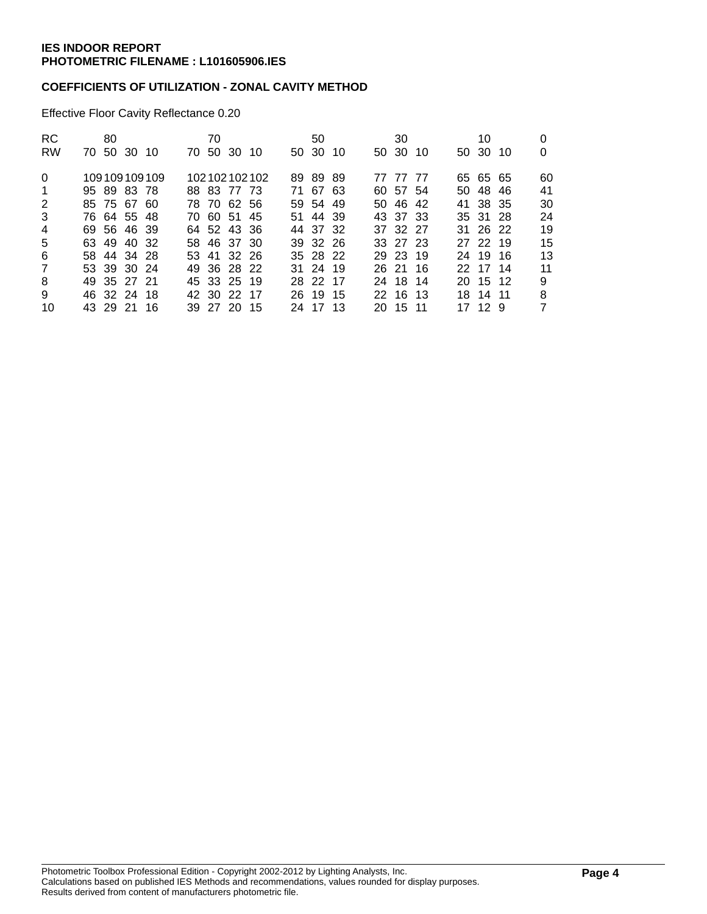# **COEFFICIENTS OF UTILIZATION - ZONAL CAVITY METHOD**

Effective Floor Cavity Reflectance 0.20

| <b>RC</b><br><b>RW</b> | 80<br>70 50 30 10 |  | 70 | 70 50 30 10 |              | 50<br>50 30 10 |  | 30<br>50 30 10 |  | 10<br>50 30 10 | 0  |
|------------------------|-------------------|--|----|-------------|--------------|----------------|--|----------------|--|----------------|----|
|                        |                   |  |    |             |              |                |  |                |  |                |    |
| $\Omega$               | 109109109109      |  |    |             | 102102102102 | 89 89 89       |  | 77 77 77       |  | 65 65 65       | 60 |
| $\overline{1}$         | 95 89 83 78       |  |    | 88 83 77 73 |              | 71 67 63       |  | 60 57 54       |  | 50 48 46       | 41 |
| 2                      | 85 75 67 60       |  |    | 78 70 62 56 |              | 59 54 49       |  | 50 46 42       |  | 41 38 35       | 30 |
| 3                      | 76 64 55 48       |  |    | 70 60 51 45 |              | 51 44 39       |  | 43 37 33       |  | 35 31 28       | 24 |
| $\overline{4}$         | 69 56 46 39       |  |    | 64 52 43 36 |              | 44 37 32       |  | 37 32 27       |  | 31 26 22       | 19 |
| 5                      | 63 49 40 32       |  |    | 58 46 37 30 |              | 39 32 26       |  | 33 27 23       |  | 27 22 19       | 15 |
| 6                      | 58 44 34 28       |  |    | 53 41 32 26 |              | 35 28 22       |  | 29 23 19       |  | 24 19 16       | 13 |
| $\overline{7}$         | 53 39 30 24       |  |    | 49 36 28 22 |              | 31 24 19       |  | 26 21 16       |  | 22 17 14       | 11 |
| 8                      | 49 35 27 21       |  |    | 45 33 25 19 |              | 28 22 17       |  | 24 18 14       |  | 20 15 12       | 9  |
| 9                      | 46 32 24 18       |  |    | 42 30 22 17 |              | 26 19 15       |  | 22 16 13       |  | 18 14 11       | 8  |
| 10                     | 43 29 21 16       |  |    | 39 27 20 15 |              | 24 17 13       |  | 20 15 11       |  | 17 12 9        | 7  |